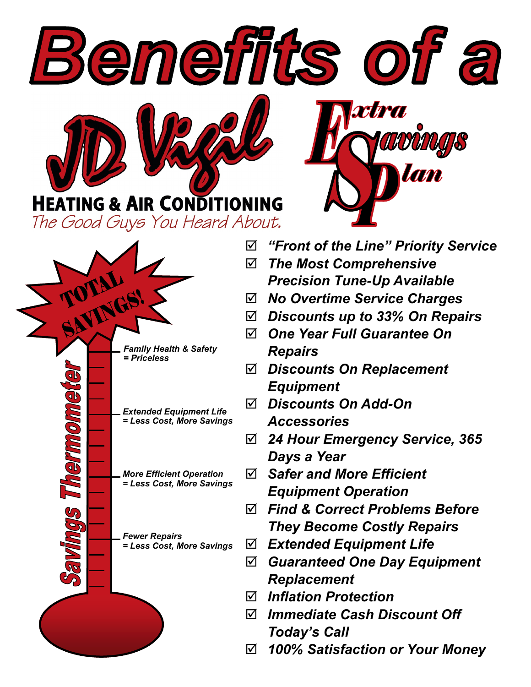**HEATING & AIR CONDITIONING** The Good Guys You Heard About.



*"Front of the Line" Priority Service*

**xtra** 

*The Most Comprehensive* 

Benefits of a

- *Precision Tune-Up Available*
- *No Overtime Service Charges*
- *Discounts up to 33% On Repairs*
- *One Year Full Guarantee On Repairs*
- *Discounts On Replacement Equipment*
- *Discounts On Add-On Accessories*
- *24 Hour Emergency Service, 365 Days a Year*
- *Safer and More Efficient Equipment Operation*
- *Find & Correct Problems Before They Become Costly Repairs*
- *Extended Equipment Life*
- *Guaranteed One Day Equipment Replacement*
- *Inflation Protection*
- *Immediate Cash Discount Off Today's Call*
- *100% Satisfaction or Your Money*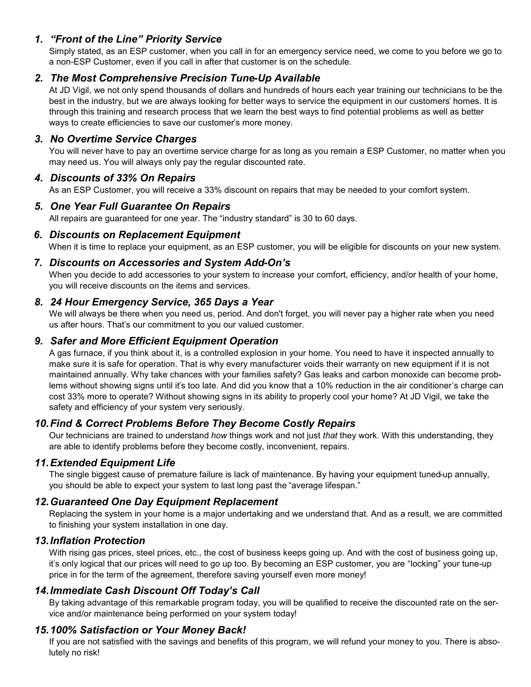### *1. "Front of the Line" Priority Service*

Simply stated, as an ESP customer, when you call in for an emergency service need, we come to you before we go to a non-ESP Customer, even if you call in after that customer is on the schedule.

### *2. The Most Comprehensive Precision Tune-Up Available*

At JD Vigil, we not only spend thousands of dollars and hundreds of hours each year training our technicians to be the best in the industry, but we are always looking for better ways to service the equipment in our customers' homes. It is through this training and research process that we learn the best ways to find potential problems as well as better ways to create efficiencies to save our customer's more money.

### *3. No Overtime Service Charges*

You will never have to pay an overtime service charge for as long as you remain a ESP Customer, no matter when you may need us. You will always only pay the regular discounted rate.

### *4. Discounts of 33% On Repairs*

As an ESP Customer, you will receive a 33% discount on repairs that may be needed to your comfort system.

### *5. One Year Full Guarantee On Repairs*

All repairs are guaranteed for one year. The "industry standard" is 30 to 60 days.

### *6. Discounts on Replacement Equipment*

When it is time to replace your equipment, as an ESP customer, you will be eligible for discounts on your new system.

### *7. Discounts on Accessories and System Add-On's*

When you decide to add accessories to your system to increase your comfort, efficiency, and/or health of your home, you will receive discounts on the items and services.

### *8. 24 Hour Emergency Service, 365 Days a Year*

We will always be there when you need us, period. And don't forget, you will never pay a higher rate when you need us after hours. That's our commitment to you our valued customer.

### *9. Safer and More Efficient Equipment Operation*

A gas furnace, if you think about it, is a controlled explosion in your home. You need to have it inspected annually to make sure it is safe for operation. That is why every manufacturer voids their warranty on new equipment if it is not maintained annually. Why take chances with your families safety? Gas leaks and carbon monoxide can become problems without showing signs until it's too late. And did you know that a 10% reduction in the air conditioner's charge can cost 33% more to operate? Without showing signs in its ability to properly cool your home? At JD Vigil, we take the safety and efficiency of your system very seriously.

### *10.Find & Correct Problems Before They Become Costly Repairs*

Our technicians are trained to understand *how* things work and not just *that* they work. With this understanding, they are able to identify problems before they become costly, inconvenient, repairs.

### *11.Extended Equipment Life*

The single biggest cause of premature failure is lack of maintenance. By having your equipment tuned-up annually, you should be able to expect your system to last long past the "average lifespan."

### *12.Guaranteed One Day Equipment Replacement*

Replacing the system in your home is a major undertaking and we understand that. And as a result, we are committed to finishing your system installation in one day.

### *13.Inflation Protection*

With rising gas prices, steel prices, etc., the cost of business keeps going up. And with the cost of business going up, it's only logical that our prices will need to go up too. By becoming an ESP customer, you are "locking" your tune-up price in for the term of the agreement, therefore saving yourself even more money!

### *14.Immediate Cash Discount Off Today's Call*

By taking advantage of this remarkable program today, you will be qualified to receive the discounted rate on the service and/or maintenance being performed on your system today!

### *15.100% Satisfaction or Your Money Back!*

If you are not satisfied with the savings and benefits of this program, we will refund your money to you. There is absolutely no risk!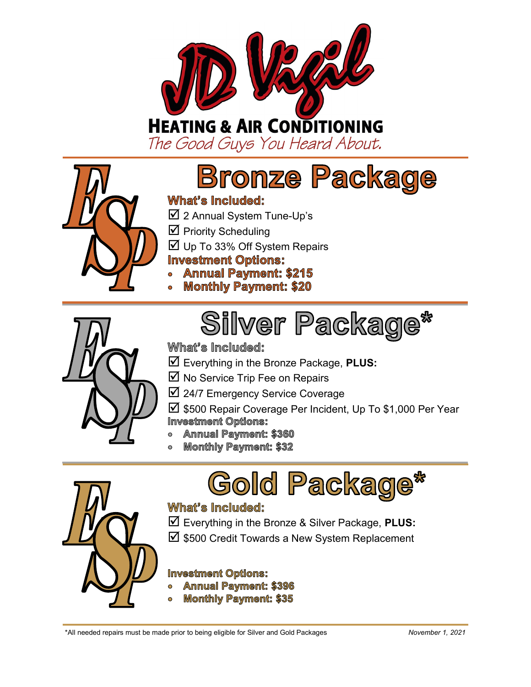

# **HEATING & AIR CONDITIONING**

The Good Guys You Heard About.



# **Bronze Package**

# What's Included:

- 2 Annual System Tune-Up's
- $\boxtimes$  Priority Scheduling
- Up To 33% Off System Repairs

# **Investment Options:**

- **Annual Payment: \$215**
- **Monthly Payment: \$20**



# What's Included:

- Everything in the Bronze Package, **PLUS:**
- $\overline{\mathbf{M}}$  No Service Trip Fee on Repairs
- 24/7 Emergency Service Coverage
- $\boxtimes$  \$500 Repair Coverage Per Incident, Up To \$1,000 Per Year **Investment Options:**

**Silver Package\*** 

- **Annual Payment: \$360**
- **Monthly Payment: \$32**





# What's Included:

 Everything in the Bronze & Silver Package, **PLUS:**  $\boxtimes$  \$500 Credit Towards a New System Replacement

### **Investment Options:**

- **Annual Payment: \$396**
- **Monthly Payment: \$35**